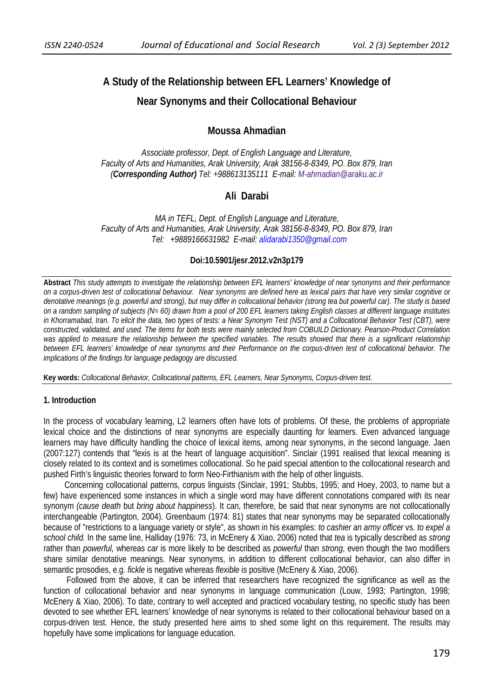# **A Study of the Relationship between EFL Learners' Knowledge of**

# **Near Synonyms and their Collocational Behaviour**

# **Moussa Ahmadian**

*Associate professor, Dept. of English Language and Literature, Faculty of Arts and Humanities, Arak University, Arak 38156-8-8349, PO. Box 879, Iran (Corresponding Author) Tel: +988613135111 E-mail: M-ahmadian@araku.ac.ir*

# **Ali Darabi**

*MA in TEFL, Dept. of English Language and Literature, Faculty of Arts and Humanities, Arak University, Arak 38156-8-8349, PO. Box 879, Iran Tel: +9889166631982 E-mail: alidarabi1350@gmail.com*

#### **Doi:10.5901/jesr.2012.v2n3p179**

**Abstract** *This study attempts to investigate the relationship between EFL learners' knowledge of near synonyms and their performance on a corpus-driven test of collocational behaviour. Near synonyms are defined here as lexical pairs that have very similar cognitive or denotative meanings (e.g. powerful and strong), but may differ in collocational behavior (strong tea but powerful car). The study is based on a random sampling of subjects (N= 60) drawn from a pool of 200 EFL learners taking English classes at different language institutes in Khorramabad, Iran. To elicit the data, two types of tests: a Near Synonym Test (NST) and a Collocational Behavior Test (CBT), were constructed, validated, and used. The items for both tests were mainly selected from COBUILD Dictionary. Pearson-Product Correlation was applied to measure the relationship between the specified variables. The results showed that there is a significant relationship between EFL learners' knowledge of near synonyms and their Performance on the corpus-driven test of collocational behavior. The implications of the findings for language pedagogy are discussed.*

**Key words:** *Collocational Behavior, Collocational patterns, EFL Learners, Near Synonyms, Corpus-driven test.* 

#### **1. Introduction**

In the process of vocabulary learning, L2 learners often have lots of problems. Of these, the problems of appropriate lexical choice and the distinctions of near synonyms are especially daunting for learners. Even advanced language learners may have difficulty handling the choice of lexical items, among near synonyms, in the second language. Jaen (2007:127) contends that "lexis is at the heart of language acquisition". Sinclair (1991 realised that lexical meaning is closely related to its context and is sometimes collocational. So he paid special attention to the collocational research and pushed Firth's linguistic theories forward to form Neo-Firthianism with the help of other linguists.

 Concerning collocational patterns, corpus linguists (Sinclair, 1991; Stubbs, 1995; and Hoey, 2003, to name but a few) have experienced some instances in which a single word may have different connotations compared with its near synonym *(cause death* but *bring about happiness*). It can, therefore, be said that near synonyms are not collocationally interchangeable (Partington, 2004). Greenbaum (1974: 81) states that near synonyms may be separated collocationally because of "restrictions to a language variety or style", as shown in his examples: *to cashier an army officer* vs. *to expel a school child.* In the same line, Halliday (1976: 73, in McEnery & Xiao, 2006) noted that *tea* is typically described as *strong* rather than *powerful,* whereas *car* is more likely to be described as *powerful* than *strong*, even though the two modifiers share similar denotative meanings. Near synonyms, in addition to different collocational behavior, can also differ in semantic prosodies, e.g. *fickle* is negative whereas *flexible* is positive (McEnery & Xiao, 2006).

 Followed from the above, it can be inferred that researchers have recognized the significance as well as the function of collocational behavior and near synonyms in language communication (Louw, 1993; Partington, 1998; McEnery & Xiao, 2006). To date, contrary to well accepted and practiced vocabulary testing, no specific study has been devoted to see whether EFL learners' knowledge of near synonyms is related to their collocational behaviour based on a corpus-driven test. Hence, the study presented here aims to shed some light on this requirement. The results may hopefully have some implications for language education.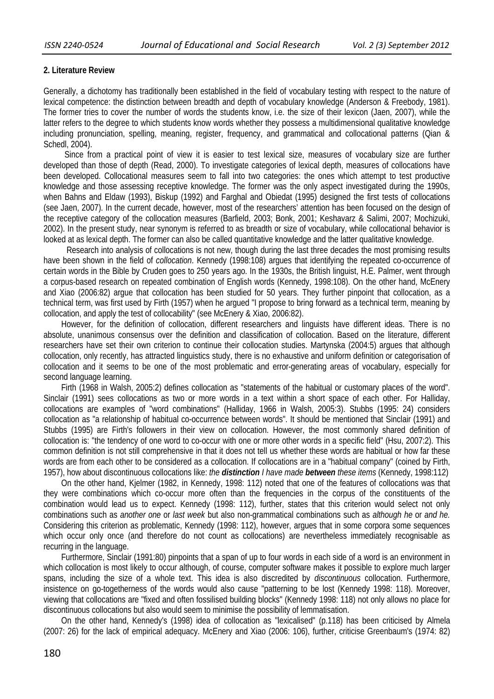## **2. Literature Review**

Generally, a dichotomy has traditionally been established in the field of vocabulary testing with respect to the nature of lexical competence: the distinction between breadth and depth of vocabulary knowledge (Anderson & Freebody, 1981). The former tries to cover the number of words the students know, i.e. the size of their lexicon (Jaen, 2007), while the latter refers to the degree to which students know words whether they possess a multidimensional qualitative knowledge including pronunciation, spelling, meaning, register, frequency, and grammatical and collocational patterns (Qian & Schedl, 2004).

 Since from a practical point of view it is easier to test lexical size, measures of vocabulary size are further developed than those of depth (Read, 2000). To investigate categories of lexical depth, measures of collocations have been developed. Collocational measures seem to fall into two categories: the ones which attempt to test productive knowledge and those assessing receptive knowledge. The former was the only aspect investigated during the 1990s, when Bahns and Eldaw (1993), Biskup (1992) and Farghal and Obiedat (1995) designed the first tests of collocations (see Jaen, 2007). In the current decade, however, most of the researchers' attention has been focused on the design of the receptive category of the collocation measures (Barfield, 2003; Bonk, 2001; Keshavarz & Salimi, 2007; Mochizuki, 2002). In the present study, near synonym is referred to as breadth or size of vocabulary, while collocational behavior is looked at as lexical depth. The former can also be called quantitative knowledge and the latter qualitative knowledge.

 Research into analysis of collocations is not new, though during the last three decades the most promising results have been shown in the field of *collocation*. Kennedy (1998:108) argues that identifying the repeated co-occurrence of certain words in the Bible by Cruden goes to 250 years ago. In the 1930s, the British linguist, H.E. Palmer, went through a corpus-based research on repeated combination of English words (Kennedy, 1998:108). On the other hand, McEnery and Xiao (2006:82) argue that collocation has been studied for 50 years. They further pinpoint that collocation, as a technical term, was first used by Firth (1957) when he argued "I propose to bring forward as a technical term, meaning by collocation, and apply the test of collocability" (see McEnery & Xiao, 2006:82).

 However, for the definition of collocation, different researchers and linguists have different ideas. There is no absolute, unanimous consensus over the definition and classification of collocation. Based on the literature, different researchers have set their own criterion to continue their collocation studies. Martynska (2004:5) argues that although collocation, only recently, has attracted linguistics study, there is no exhaustive and uniform definition or categorisation of collocation and it seems to be one of the most problematic and error-generating areas of vocabulary, especially for second language learning.

 Firth (1968 in Walsh, 2005:2) defines collocation as "statements of the habitual or customary places of the word". Sinclair (1991) sees collocations as two or more words in a text within a short space of each other. For Halliday, collocations are examples of "word combinations" (Halliday, 1966 in Walsh, 2005:3). Stubbs (1995: 24) considers collocation as "a relationship of habitual co-occurrence between words". It should be mentioned that Sinclair (1991) and Stubbs (1995) are Firth's followers in their view on collocation. However, the most commonly shared definition of collocation is: "the tendency of one word to co-occur with one or more other words in a specific field" (Hsu, 2007:2). This common definition is not still comprehensive in that it does not tell us whether these words are habitual or how far these words are from each other to be considered as a collocation. If collocations are in a "habitual company" (coined by Firth, 1957), how about discontinuous collocations like: *the distinction I have made between these items* (Kennedy, 1998:112)

 On the other hand, Kjelmer (1982, in Kennedy, 1998: 112) noted that one of the features of collocations was that they were combinations which co-occur more often than the frequencies in the corpus of the constituents of the combination would lead us to expect. Kennedy (1998: 112), further, states that this criterion would select not only combinations such as *another one* or *last week* but also non-grammatical combinations such as *although he* or *and he.* Considering this criterion as problematic, Kennedy (1998: 112), however, argues that in some corpora some sequences which occur only once (and therefore do not count as collocations) are nevertheless immediately recognisable as recurring in the language.

 Furthermore, Sinclair (1991:80) pinpoints that a span of up to four words in each side of a word is an environment in which collocation is most likely to occur although, of course, computer software makes it possible to explore much larger spans, including the size of a whole text. This idea is also discredited by *discontinuous* collocation. Furthermore, insistence on go-togetherness of the words would also cause "patterning to be lost (Kennedy 1998: 118). Moreover, viewing that collocations are "fixed and often fossilised building blocks" (Kennedy 1998: 118) not only allows no place for discontinuous collocations but also would seem to minimise the possibility of lemmatisation.

 On the other hand, Kennedy's (1998) idea of collocation as "lexicalised" (p.118) has been criticised by Almela (2007: 26) for the lack of empirical adequacy. McEnery and Xiao (2006: 106), further, criticise Greenbaum's (1974: 82)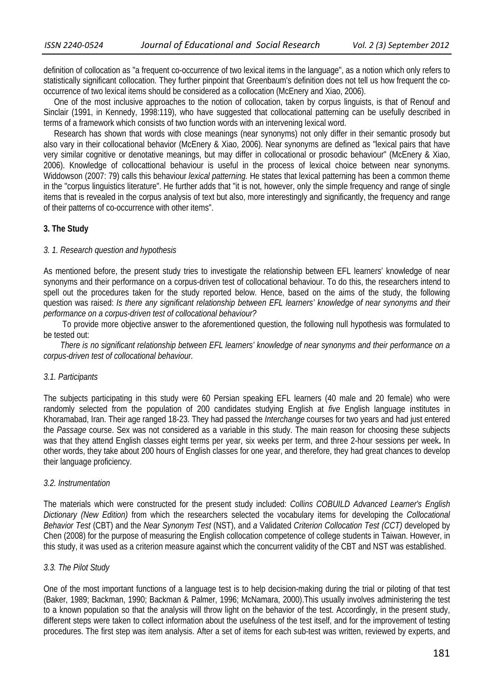definition of collocation as "a frequent co-occurrence of two lexical items in the language", as a notion which only refers to statistically significant collocation. They further pinpoint that Greenbaum's definition does not tell us how frequent the cooccurrence of two lexical items should be considered as a collocation (McEnery and Xiao, 2006).

 One of the most inclusive approaches to the notion of collocation, taken by corpus linguists, is that of Renouf and Sinclair (1991, in Kennedy, 1998:119), who have suggested that collocational patterning can be usefully described in terms of a framework which consists of two function words with an intervening lexical word.

 Research has shown that words with close meanings (near synonyms) not only differ in their semantic prosody but also vary in their collocational behavior (McEnery & Xiao, 2006). Near synonyms are defined as "lexical pairs that have very similar cognitive or denotative meanings, but may differ in collocational or prosodic behaviour" (McEnery & Xiao, 2006). Knowledge of collocattional behaviour is useful in the process of lexical choice between near synonyms. Widdowson (2007: 79) calls this behaviour *lexical patterning.* He states that lexical patterning has been a common theme in the "corpus linguistics literature". He further adds that "it is not, however, only the simple frequency and range of single items that is revealed in the corpus analysis of text but also, more interestingly and significantly, the frequency and range of their patterns of co-occurrence with other items".

#### **3. The Study**

## *3. 1. Research question and hypothesis*

As mentioned before, the present study tries to investigate the relationship between EFL learners' knowledge of near synonyms and their performance on a corpus-driven test of collocational behaviour. To do this, the researchers intend to spell out the procedures taken for the study reported below. Hence, based on the aims of the study, the following question was raised: *Is there any significant relationship between EFL learners' knowledge of near synonyms and their performance on a corpus-driven test of collocational behaviour?* 

 To provide more objective answer to the aforementioned question, the following null hypothesis was formulated to be tested out:

 *There is no significant relationship between EFL learners' knowledge of near synonyms and their performance on a corpus-driven test of collocational behaviour.* 

#### *3.1. Participants*

The subjects participating in this study were 60 Persian speaking EFL learners (40 male and 20 female) who were randomly selected from the population of 200 candidates studying English at *five* English language institutes in Khoramabad, Iran. Their age ranged 18-23. They had passed the *Interchange* courses for two years and had just entered the *Passage* course. Sex was not considered as a variable in this study. The main reason for choosing these subjects was that they attend English classes eight terms per year, six weeks per term, and three 2-hour sessions per week**.** In other words, they take about 200 hours of English classes for one year, and therefore, they had great chances to develop their language proficiency.

#### *3.2. Instrumentation*

The materials which were constructed for the present study included: *Collins COBUILD Advanced Learner's English Dictionary (New Edition)* from which the researchers selected the vocabulary items for developing the *Collocational Behavior Test* (CBT) and the *Near Synonym Test* (NST), and *a* Validated *Criterion Collocation Test (CCT)* developed by Chen (2008) for the purpose of measuring the English collocation competence of college students in Taiwan. However, in this study, it was used as a criterion measure against which the concurrent validity of the CBT and NST was established.

#### *3.3. The Pilot Study*

One of the most important functions of a language test is to help decision-making during the trial or piloting of that test (Baker, 1989; Backman, 1990; Backman & Palmer, 1996; McNamara, 2000).This usually involves administering the test to a known population so that the analysis will throw light on the behavior of the test. Accordingly, in the present study, different steps were taken to collect information about the usefulness of the test itself, and for the improvement of testing procedures. The first step was item analysis. After a set of items for each sub-test was written, reviewed by experts, and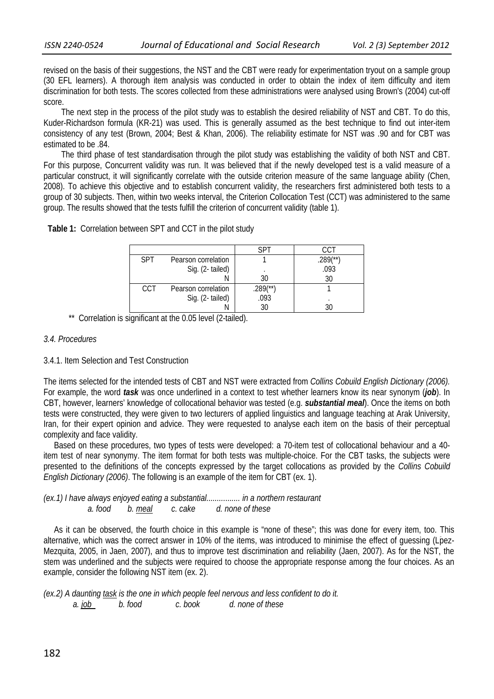revised on the basis of their suggestions, the NST and the CBT were ready for experimentation tryout on a sample group (30 EFL learners). A thorough item analysis was conducted in order to obtain the index of item difficulty and item discrimination for both tests. The scores collected from these administrations were analysed using Brown's (2004) cut-off score.

 The next step in the process of the pilot study was to establish the desired reliability of NST and CBT. To do this, Kuder-Richardson formula (KR-21) was used. This is generally assumed as the best technique to find out inter-item consistency of any test (Brown, 2004; Best & Khan, 2006). The reliability estimate for NST was .90 and for CBT was estimated to be .84.

 The third phase of test standardisation through the pilot study was establishing the validity of both NST and CBT. For this purpose, Concurrent validity was run. It was believed that if the newly developed test is a valid measure of a particular construct, it will significantly correlate with the outside criterion measure of the same language ability (Chen, 2008). To achieve this objective and to establish concurrent validity, the researchers first administered both tests to a group of 30 subjects. Then, within two weeks interval, the Criterion Collocation Test (CCT) was administered to the same group. The results showed that the tests fulfill the criterion of concurrent validity (table 1).

 **Table 1:** Correlation between SPT and CCT in the pilot study

| <b>SPT</b> | Pearson correlation |             | $289$ <sup>(**)</sup> |
|------------|---------------------|-------------|-----------------------|
|            | Sig. (2-tailed)     |             | .093                  |
|            |                     | 30          | 30                    |
| CCT        | Pearson correlation | $.289$ (**) |                       |
|            | Sig. (2-tailed)     | .093        | ٠                     |
|            |                     |             |                       |

\*\* Correlation is significant at the 0.05 level (2-tailed).

## *3.4. Procedures*

#### 3.4.1. Item Selection and Test Construction

The items selected for the intended tests of CBT and NST were extracted from *Collins Cobuild English Dictionary (2006).* For example, the word *task* was once underlined in a context to test whether learners know its near synonym (*job*). In CBT, however, learners' knowledge of collocational behavior was tested (e.g. *substantial meal*). Once the items on both tests were constructed, they were given to two lecturers of applied linguistics and language teaching at Arak University, Iran, for their expert opinion and advice. They were requested to analyse each item on the basis of their perceptual complexity and face validity.

 Based on these procedures, two types of tests were developed: a 70-item test of collocational behaviour and a 40 item test of near synonymy. The item format for both tests was multiple-choice. For the CBT tasks, the subjects were presented to the definitions of the concepts expressed by the target collocations as provided by the *Collins Cobuild English Dictionary (2006)*. The following is an example of the item for CBT (ex. 1).

*(ex.1) I have always enjoyed eating a substantial................ in a northern restaurant a. food b. meal c. cake d. none of these* 

 As it can be observed, the fourth choice in this example is "none of these"; this was done for every item, too. This alternative, which was the correct answer in 10% of the items, was introduced to minimise the effect of quessing (Lpez-Mezquita, 2005, in Jaen, 2007), and thus to improve test discrimination and reliability (Jaen, 2007). As for the NST, the stem was underlined and the subjects were required to choose the appropriate response among the four choices. As an example, consider the following NST item (ex. 2).

*(ex.2) A daunting task is the one in which people feel nervous and less confident to do it. a. job b. food c. book d. none of these*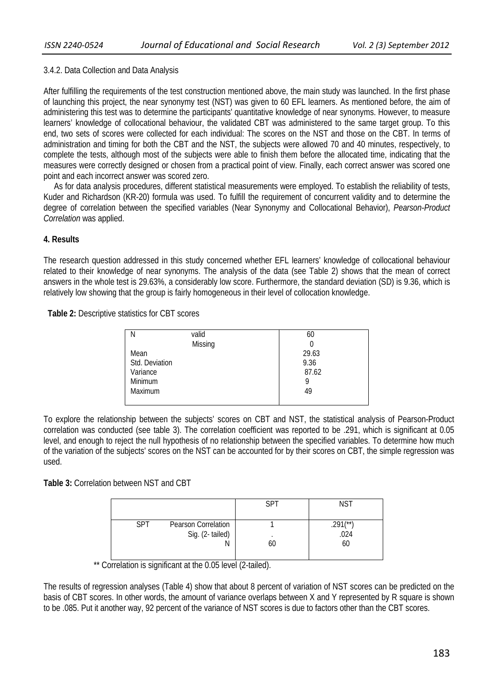## 3.4.2. Data Collection and Data Analysis

After fulfilling the requirements of the test construction mentioned above, the main study was launched. In the first phase of launching this project, the near synonymy test (NST) was given to 60 EFL learners. As mentioned before, the aim of administering this test was to determine the participants' quantitative knowledge of near synonyms. However, to measure learners' knowledge of collocational behaviour, the validated CBT was administered to the same target group. To this end, two sets of scores were collected for each individual: The scores on the NST and those on the CBT. In terms of administration and timing for both the CBT and the NST, the subjects were allowed 70 and 40 minutes, respectively, to complete the tests, although most of the subjects were able to finish them before the allocated time, indicating that the measures were correctly designed or chosen from a practical point of view. Finally, each correct answer was scored one point and each incorrect answer was scored zero.

 As for data analysis procedures, different statistical measurements were employed. To establish the reliability of tests, Kuder and Richardson (KR-20) formula was used. To fulfill the requirement of concurrent validity and to determine the degree of correlation between the specified variables (Near Synonymy and Collocational Behavior), *Pearson-Product Correlation* was applied.

## **4. Results**

The research question addressed in this study concerned whether EFL learners' knowledge of collocational behaviour related to their knowledge of near synonyms. The analysis of the data (see Table 2) shows that the mean of correct answers in the whole test is 29.63%, a considerably low score. Furthermore, the standard deviation (SD) is 9.36, which is relatively low showing that the group is fairly homogeneous in their level of collocation knowledge.

 **Table 2:** Descriptive statistics for CBT scores

| N              | valid   | 60    |
|----------------|---------|-------|
|                | Missing |       |
| Mean           |         | 29.63 |
| Std. Deviation |         | 9.36  |
| Variance       |         | 87.62 |
| Minimum        |         | 9     |
| Maximum        |         | 49    |
|                |         |       |
|                |         |       |

To explore the relationship between the subjects' scores on CBT and NST, the statistical analysis of Pearson-Product correlation was conducted (see table 3). The correlation coefficient was reported to be .291, which is significant at 0.05 level, and enough to reject the null hypothesis of no relationship between the specified variables. To determine how much of the variation of the subjects' scores on the NST can be accounted for by their scores on CBT, the simple regression was used.

**Table 3:** Correlation between NST and CBT

|                                                    | <b>SPT</b> | <b>NST</b>                 |
|----------------------------------------------------|------------|----------------------------|
| Pearson Correlation<br>SPT<br>Sig. (2-tailed)<br>Ν | 60         | $701$ $(**)$<br>.024<br>60 |

\*\* Correlation is significant at the 0.05 level (2-tailed).

The results of regression analyses (Table 4) show that about 8 percent of variation of NST scores can be predicted on the basis of CBT scores. In other words, the amount of variance overlaps between X and Y represented by R square is shown to be .085. Put it another way, 92 percent of the variance of NST scores is due to factors other than the CBT scores.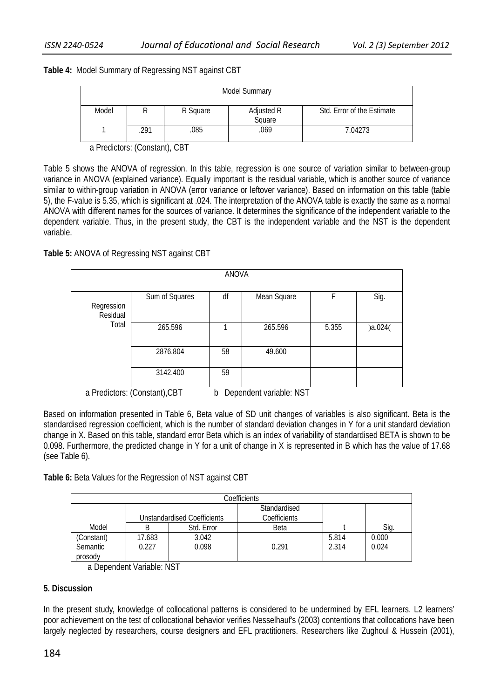**Table 4:** Model Summary of Regressing NST against CBT

| <b>Model Summary</b> |     |          |                      |                            |  |  |
|----------------------|-----|----------|----------------------|----------------------------|--|--|
| Model                |     | R Square | Adjusted R<br>Square | Std. Error of the Estimate |  |  |
|                      | 291 | .085     | .069                 | 7.04273                    |  |  |

a Predictors: (Constant), CBT

Table 5 shows the ANOVA of regression. In this table, regression is one source of variation similar to between-group variance in ANOVA (explained variance). Equally important is the residual variable, which is another source of variance similar to within-group variation in ANOVA (error variance or leftover variance). Based on information on this table (table 5), the F-value is 5.35, which is significant at .024. The interpretation of the ANOVA table is exactly the same as a normal ANOVA with different names for the sources of variance. It determines the significance of the independent variable to the dependent variable. Thus, in the present study, the CBT is the independent variable and the NST is the dependent variable.

**Table 5:** ANOVA of Regressing NST against CBT

| <b>ANOVA</b>                                                  |                |    |             |       |         |
|---------------------------------------------------------------|----------------|----|-------------|-------|---------|
| Regression<br>Residual<br>Total                               | Sum of Squares | df | Mean Square |       | Sig.    |
|                                                               | 265.596        |    | 265.596     | 5.355 | )a.024( |
|                                                               | 2876.804       | 58 | 49.600      |       |         |
|                                                               | 3142.400       | 59 |             |       |         |
| a Predictors: (Constant), CBT<br>Dependent variable: NST<br>b |                |    |             |       |         |

Based on information presented in Table 6, Beta value of SD unit changes of variables is also significant. Beta is the standardised regression coefficient, which is the number of standard deviation changes in Y for a unit standard deviation change in X. Based on this table, standard error Beta which is an index of variability of standardised BETA is shown to be 0.098. Furthermore, the predicted change in Y for a unit of change in X is represented in B which has the value of 17.68 (see Table 6).

**Table 6:** Beta Values for the Regression of NST against CBT

| Coefficients                      |                             |                |                              |                |                |  |
|-----------------------------------|-----------------------------|----------------|------------------------------|----------------|----------------|--|
|                                   | Unstandardised Coefficients |                | Standardised<br>Coefficients |                |                |  |
| Model                             | B                           | Std. Error     | Beta                         |                | Sig.           |  |
| (Constant)<br>Semantic<br>prosody | 17.683<br>0.227             | 3.042<br>0.098 | 0.291                        | 5.814<br>2.314 | 0.000<br>0.024 |  |

a Dependent Variable: NST

# **5. Discussion**

In the present study, knowledge of collocational patterns is considered to be undermined by EFL learners. L2 learners' poor achievement on the test of collocational behavior verifies Nesselhauf's (2003) contentions that collocations have been largely neglected by researchers, course designers and EFL practitioners. Researchers like Zughoul & Hussein (2001),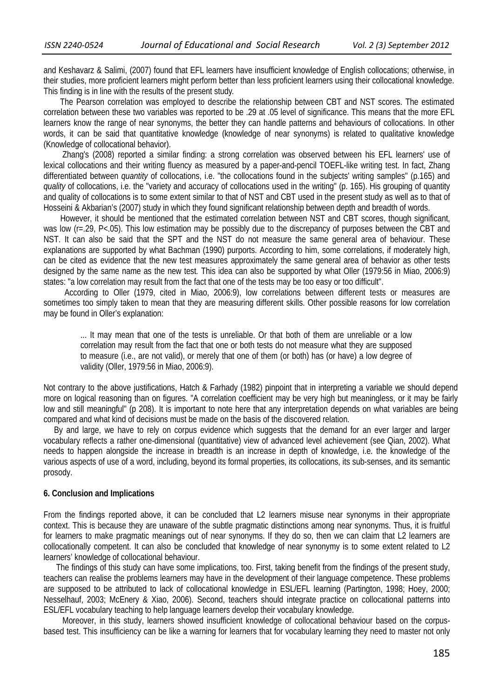and Keshavarz & Salimi, (2007) found that EFL learners have insufficient knowledge of English collocations; otherwise, in their studies, more proficient learners might perform better than less proficient learners using their collocational knowledge. This finding is in line with the results of the present study.

 The Pearson correlation was employed to describe the relationship between CBT and NST scores. The estimated correlation between these two variables was reported to be .29 at .05 level of significance. This means that the more EFL learners know the range of near synonyms, the better they can handle patterns and behaviours of collocations. In other words, it can be said that quantitative knowledge (knowledge of near synonyms) is related to qualitative knowledge (Knowledge of collocational behavior).

 Zhang's (2008) reported a similar finding: a strong correlation was observed between his EFL learners' use of lexical collocations and their writing fluency as measured by a paper-and-pencil TOEFL-like writing test. In fact, Zhang differentiated between *quantity* of collocations, i.e. "the collocations found in the subjects' writing samples" (p.165) and *quality* of collocations, i.e. the "variety and accuracy of collocations used in the writing" (p. 165). His grouping of quantity and quality of collocations is to some extent similar to that of NST and CBT used in the present study as well as to that of Hosseini & Akbarian's (2007) study in which they found significant relationship between depth and breadth of words.

 However, it should be mentioned that the estimated correlation between NST and CBT scores, though significant, was low (r=.29, P<.05). This low estimation may be possibly due to the discrepancy of purposes between the CBT and NST. It can also be said that the SPT and the NST do not measure the same general area of behaviour. These explanations are supported by what Bachman (1990) purports. According to him, some correlations, if moderately high, can be cited as evidence that the new test measures approximately the same general area of behavior as other tests designed by the same name as the new test*.* This idea can also be supported by what Oller (1979:56 in Miao, 2006:9) states: "a low correlation may result from the fact that one of the tests may be too easy or too difficult".

 According to Oller (1979, cited in Miao, 2006:9), low correlations between different tests or measures are sometimes too simply taken to mean that they are measuring different skills. Other possible reasons for low correlation may be found in Oller's explanation:

... It may mean that one of the tests is unreliable. Or that both of them are unreliable or a low correlation may result from the fact that one or both tests do not measure what they are supposed to measure (i.e., are not valid), or merely that one of them (or both) has (or have) a low degree of validity (Oller, 1979:56 in Miao, 2006:9).

Not contrary to the above justifications, Hatch & Farhady (1982) pinpoint that in interpreting a variable we should depend more on logical reasoning than on figures. "A correlation coefficient may be very high but meaningless, or it may be fairly low and still meaningful" (p 208). It is important to note here that any interpretation depends on what variables are being compared and what kind of decisions must be made on the basis of the discovered relation.

 By and large, we have to rely on corpus evidence which suggests that the demand for an ever larger and larger vocabulary reflects a rather one-dimensional (quantitative) view of advanced level achievement (see Qian, 2002). What needs to happen alongside the increase in breadth is an increase in depth of knowledge, i.e. the knowledge of the various aspects of use of a word, including, beyond its formal properties, its collocations, its sub-senses, and its semantic prosody.

#### **6. Conclusion and Implications**

From the findings reported above, it can be concluded that L2 learners misuse near synonyms in their appropriate context. This is because they are unaware of the subtle pragmatic distinctions among near synonyms. Thus, it is fruitful for learners to make pragmatic meanings out of near synonyms. If they do so, then we can claim that L2 learners are collocationally competent. It can also be concluded that knowledge of near synonymy is to some extent related to L2 learners' knowledge of collocational behaviour.

 The findings of this study can have some implications, too. First, taking benefit from the findings of the present study, teachers can realise the problems learners may have in the development of their language competence. These problems are supposed to be attributed to lack of collocational knowledge in ESL/EFL learning (Partington, 1998; Hoey, 2000; Nesselhauf, 2003; McEnery & Xiao, 2006). Second, teachers should integrate practice on collocational patterns into ESL/EFL vocabulary teaching to help language learners develop their vocabulary knowledge.

 Moreover, in this study, learners showed insufficient knowledge of collocational behaviour based on the corpusbased test. This insufficiency can be like a warning for learners that for vocabulary learning they need to master not only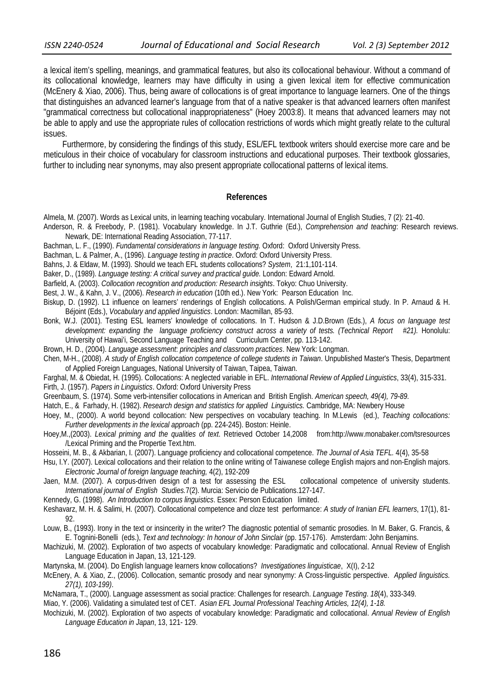a lexical item's spelling, meanings, and grammatical features, but also its collocational behaviour. Without a command of its collocational knowledge, learners may have difficulty in using a given lexical item for effective communication (McEnery & Xiao, 2006). Thus, being aware of collocations is of great importance to language learners. One of the things that distinguishes an advanced learner's language from that of a native speaker is that advanced learners often manifest "grammatical correctness but collocational inappropriateness" (Hoey 2003:8). It means that advanced learners may not be able to apply and use the appropriate rules of collocation restrictions of words which might greatly relate to the cultural issues.

 Furthermore, by considering the findings of this study, ESL/EFL textbook writers should exercise more care and be meticulous in their choice of vocabulary for classroom instructions and educational purposes. Their textbook glossaries, further to including near synonyms, may also present appropriate collocational patterns of lexical items.

#### **References**

- Almela, M. (2007). Words as Lexical units, in learning teaching vocabulary. International Journal of English Studies, 7 (2): 21-40.
- Anderson, R. & Freebody, P. (1981). Vocabulary knowledge. In J.T. Guthrie (Ed.), *Comprehension and teaching*: Research reviews. Newark, DE: International Reading Association, 77-117.
- Bachman, L. F., (1990). *Fundamental considerations in language testing.* Oxford: Oxford University Press.
- Bachman, L. & Palmer, A., (1996). *Language testing in practice*. Oxford: Oxford University Press.
- Bahns, J. & Eldaw, M. (1993). Should we teach EFL students collocations? *System*, 21:1,101-114.
- Baker, D., (1989). *Language testing: A critical survey and practical guide.* London: Edward Arnold.
- Barfield, A. (2003). *Collocation recognition and production: Research insights*. Tokyo: Chuo University.
- Best, J. W., & Kahn, J. V., (2006). *Research in education* (10th ed.). New York: Pearson Education Inc.
- Biskup, D. (1992). L1 influence on learners' renderings of English collocations. A Polish/German empirical study. In P. Arnaud & H. Béjoint (Eds.), *Vocabulary and applied linguistics*. London: Macmillan, 85-93.
- Bonk, W.J. (2001). Testing ESL learners' knowledge of collocations. In T. Hudson & J.D.Brown (Eds.), *A focus on language test development: expanding the language proficiency construct across a variety of tests. (Technical Report #21).* Honolulu: University of Hawai'i, Second Language Teaching and Curriculum Center, pp. 113-142.
- Brown, H. D., (2004). *Language assessment*: *principles and classroom practices*. New York: Longman.
- Chen, M-H., (2008). *A study of English collocation competence of college students in Taiwan*. Unpublished Master's Thesis, Department of Applied Foreign Languages, National University of Taiwan, Taipea, Taiwan.
- Farghal, M. & Obiedat, H. (1995). Collocations: A neglected variable in EFL. *International Review of Applied Linguistics*, 33(4), 315-331.
- Firth, J. (1957). *Papers in Linguistics*. Oxford: Oxford University Press
- Greenbaum, S. (1974). Some verb-intensifier collocations in American and British English. *American speech, 49(4), 79-89.*
- Hatch, E., & Farhady, H. (1982). *Research design and statistics for applied Linguistics.* Cambridge, MA: Newbery House
- Hoey, M., (2000). A world beyond collocation: New perspectives on vocabulary teaching. In M.Lewis (ed.), *Teaching collocations: Further developments in the lexical approach* (pp. 224-245). Boston: Heinle.
- Hoey,M.,(2003). *Lexical priming and the qualities of text*. Retrieved October 14,2008 from:http://www.monabaker.com/tsresources /Lexical Priming and the Propertie Text.htm.
- Hosseini, M. B., & Akbarian, I. (2007). Language proficiency and collocational competence. *The Journal of Asia TEFL.* 4(4), 35-58
- Hsu, I.Y. (2007). Lexical collocations and their relation to the online writing of Taiwanese college English majors and non-English majors. *Electronic Journal of foreign language teaching,* 4(2), 192-209
- Jaen, M.M. (2007). A corpus-driven design of a test for assessing the ESL collocational competence of university students. *International journal of English Studies.*7(2). Murcia: Servicio de Publications.127-147.
- Kennedy, G. (1998). *An Introduction to corpus linguistics*. Essex: Person Education limited.
- Keshavarz, M. H. & Salimi, H. (2007). Collocational competence and cloze test performance: *A study of Iranian EFL learners*, 17(1), 81- 92.
- Louw, B., (1993). Irony in the text or insincerity in the writer? The diagnostic potential of semantic prosodies. In M. Baker, G. Francis, & E. Tognini-Bonelli (eds.), *Text and technology: In honour of John Sinclair* (pp. 157-176). Amsterdam: John Benjamins.
- Machizuki, M. (2002). Exploration of two aspects of vocabulary knowledge: Paradigmatic and collocational. Annual Review of English Language Education in Japan, 13, 121-129.
- Martynska, M. (2004). Do English language learners know collocations? *Investigationes linguisticae*, X(I), 2-12
- McEnery, A. & Xiao, Z., (2006). Collocation, semantic prosody and near synonymy: A Cross-linguistic perspective. *Applied linguistics. 27(1), 103-199)*.
- McNamara, T., (2000). Language assessment as social practice: Challenges for research. *Language Testing*. *18*(4), 333-349.
- Miao, Y. (2006). Validating a simulated test of CET. *Asian EFL Journal Professional Teaching Articles, 12(4), 1-18.*
- Mochizuki, M. (2002). Exploration of two aspects of vocabulary knowledge: Paradigmatic and collocational. *Annual Review of English Language Education in Japan*, 13, 121- 129.